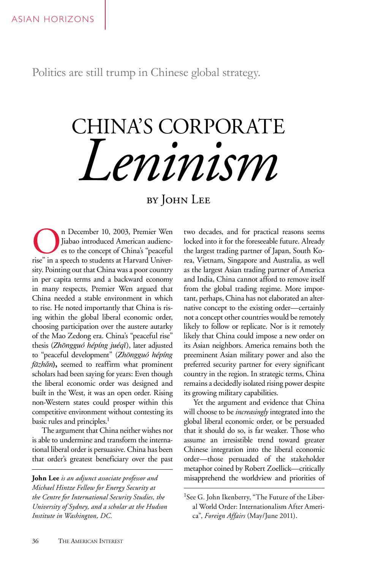Politics are still trump in Chinese global strategy.

# CHINA'S CORPORATE *Leninism*

by JOHN LEE

n December 10, 2003, Premier Wen Jiabao introduced American audiences to the concept of China's "peaceful rise" in a speech to students at Harvard University. Pointing out that China was a poor country in per capita terms and a backward economy in many respects, Premier Wen argued that China needed a stable environment in which to rise. He noted importantly that China is rising within the global liberal economic order, choosing participation over the austere autarky of the Mao Zedong era. China's "peaceful rise" thesis (*Zhōngguó hépíng juéqǐ*), later adjusted to "peaceful development" (*Zhōngguó hépíng fāzhǎn***),** seemed to reaffirm what prominent scholars had been saying for years: Even though the liberal economic order was designed and built in the West, it was an open order. Rising non-Western states could prosper within this competitive environment without contesting its basic rules and principles.<sup>1</sup>

The argument that China neither wishes nor is able to undermine and transform the international liberal order is persuasive. China has been that order's greatest beneficiary over the past

**John Lee** *is an adjunct associate professor and Michael Hintze Fellow for Energy Security at the Centre for International Security Studies, the University of Sydney, and a scholar at the Hudson Institute in Washington, DC.*

two decades, and for practical reasons seems locked into it for the foreseeable future. Already the largest trading partner of Japan, South Korea, Vietnam, Singapore and Australia, as well as the largest Asian trading partner of America and India, China cannot afford to remove itself from the global trading regime. More important, perhaps, China has not elaborated an alternative concept to the existing order—certainly not a concept other countries would be remotely likely to follow or replicate. Nor is it remotely likely that China could impose a new order on its Asian neighbors. America remains both the preeminent Asian military power and also the preferred security partner for every significant country in the region. In strategic terms, China remains a decidedly isolated rising power despite its growing military capabilities.

Yet the argument and evidence that China will choose to be *increasingly* integrated into the global liberal economic order, or be persuaded that it should do so, is far weaker. Those who assume an irresistible trend toward greater Chinese integration into the liberal economic order—those persuaded of the stakeholder metaphor coined by Robert Zoellick—critically misapprehend the worldview and priorities of

<sup>&</sup>lt;sup>1</sup>See G. John Ikenberry, "The Future of the Liberal World Order: Internationalism After America", *Foreign Affairs* (May/June 2011).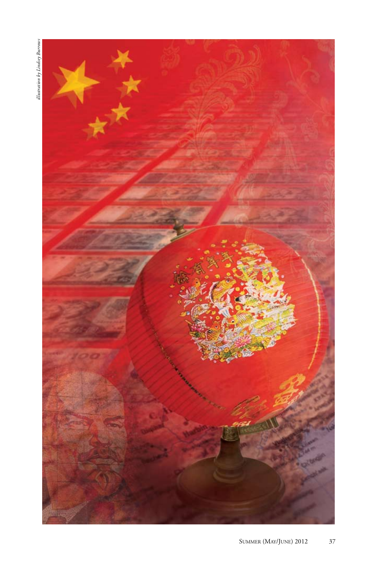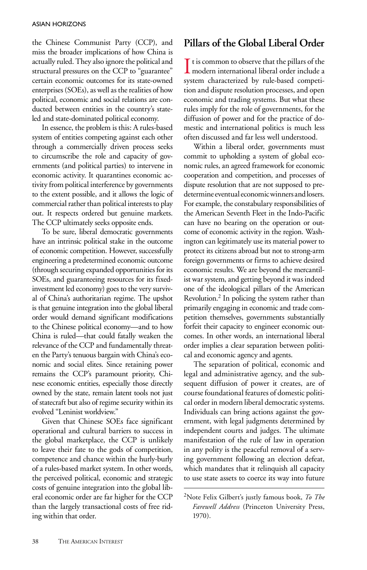the Chinese Communist Party (CCP), and miss the broader implications of how China is actually ruled. They also ignore the political and structural pressures on the CCP to "guarantee" certain economic outcomes for its state-owned enterprises (SOEs), as well as the realities of how political, economic and social relations are conducted between entities in the country's stateled and state-dominated political economy.

In essence, the problem is this: A rules-based system of entities competing against each other through a commercially driven process seeks to circumscribe the role and capacity of governments (and political parties) to intervene in economic activity. It quarantines economic activity from political interference by governments to the extent possible, and it allows the logic of commercial rather than political interests to play out. It respects ordered but genuine markets. The CCP ultimately seeks opposite ends.

To be sure, liberal democratic governments have an intrinsic political stake in the outcome of economic competition. However, successfully engineering a predetermined economic outcome (through securing expanded opportunities for its SOEs, and guaranteeing resources for its fixedinvestment led economy) goes to the very survival of China's authoritarian regime. The upshot is that genuine integration into the global liberal order would demand significant modifications to the Chinese political economy—and to how China is ruled—that could fatally weaken the relevance of the CCP and fundamentally threaten the Party's tenuous bargain with China's economic and social elites. Since retaining power remains the CCP's paramount priority, Chinese economic entities, especially those directly owned by the state, remain latent tools not just of statecraft but also of regime security within its evolved "Leninist worldview."

Given that Chinese SOEs face significant operational and cultural barriers to success in the global marketplace, the CCP is unlikely to leave their fate to the gods of competition, competence and chance within the hurly-burly of a rules-based market system. In other words, the perceived political, economic and strategic costs of genuine integration into the global liberal economic order are far higher for the CCP than the largely transactional costs of free riding within that order.

#### **Pillars of the Global Liberal Order**

I t is common to observe that the pillars of the modern international liberal order include a  $\mathsf{\Gamma}$  t is common to observe that the pillars of the system characterized by rule-based competition and dispute resolution processes, and open economic and trading systems. But what these rules imply for the role of governments, for the diffusion of power and for the practice of domestic and international politics is much less often discussed and far less well understood.

Within a liberal order, governments must commit to upholding a system of global economic rules, an agreed framework for economic cooperation and competition, and processes of dispute resolution that are not supposed to predetermine eventual economic winners and losers. For example, the constabulary responsibilities of the American Seventh Fleet in the Indo-Pacific can have no bearing on the operation or outcome of economic activity in the region. Washington can legitimately use its material power to protect its citizens abroad but not to strong-arm foreign governments or firms to achieve desired economic results. We are beyond the mercantilist war system, and getting beyond it was indeed one of the ideological pillars of the American Revolution.2 In policing the system rather than primarily engaging in economic and trade competition themselves, governments substantially forfeit their capacity to engineer economic outcomes. In other words, an international liberal order implies a clear separation between political and economic agency and agents.

The separation of political, economic and legal and administrative agency, and the subsequent diffusion of power it creates, are of course foundational features of domestic political order in modern liberal democratic systems. Individuals can bring actions against the government, with legal judgments determined by independent courts and judges. The ultimate manifestation of the rule of law in operation in any polity is the peaceful removal of a serving government following an election defeat, which mandates that it relinquish all capacity to use state assets to coerce its way into future

<sup>2</sup>Note Felix Gilbert's justly famous book, *To The Farewell Address* (Princeton University Press, 1970).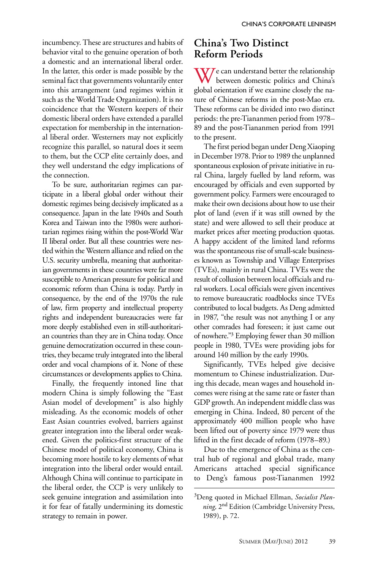incumbency. These are structures and habits of behavior vital to the genuine operation of both a domestic and an international liberal order. In the latter, this order is made possible by the seminal fact that governments voluntarily enter into this arrangement (and regimes within it such as the World Trade Organization). It is no coincidence that the Western keepers of their domestic liberal orders have extended a parallel expectation for membership in the international liberal order. Westerners may not explicitly recognize this parallel, so natural does it seem to them, but the CCP elite certainly does, and they well understand the edgy implications of the connection.

To be sure, authoritarian regimes can participate in a liberal global order without their domestic regimes being decisively implicated as a consequence. Japan in the late 1940s and South Korea and Taiwan into the 1980s were authoritarian regimes rising within the post-World War II liberal order. But all these countries were nestled within the Western alliance and relied on the U.S. security umbrella, meaning that authoritarian governments in these countries were far more susceptible to American pressure for political and economic reform than China is today. Partly in consequence, by the end of the 1970s the rule of law, firm property and intellectual property rights and independent bureaucracies were far more deeply established even in still-authoritarian countries than they are in China today. Once genuine democratization occurred in these countries, they became truly integrated into the liberal order and vocal champions of it. None of these circumstances or developments applies to China.

Finally, the frequently intoned line that modern China is simply following the "East Asian model of development" is also highly misleading. As the economic models of other East Asian countries evolved, barriers against greater integration into the liberal order weakened. Given the politics-first structure of the Chinese model of political economy, China is becoming more hostile to key elements of what integration into the liberal order would entail. Although China will continue to participate in the liberal order, the CCP is very unlikely to seek genuine integration and assimilation into it for fear of fatally undermining its domestic strategy to remain in power.

## **China's Two Distinct Reform Periods**

 $\bf W$ *J* e can understand better the relationship between domestic politics and China's global orientation if we examine closely the nature of Chinese reforms in the post-Mao era. These reforms can be divided into two distinct periods: the pre-Tiananmen period from 1978– 89 and the post-Tiananmen period from 1991 to the present.

The first period began under Deng Xiaoping in December 1978. Prior to 1989 the unplanned spontaneous explosion of private initiative in rural China, largely fuelled by land reform, was encouraged by officials and even supported by government policy. Farmers were encouraged to make their own decisions about how to use their plot of land (even if it was still owned by the state) and were allowed to sell their produce at market prices after meeting production quotas. A happy accident of the limited land reforms was the spontaneous rise of small-scale businesses known as Township and Village Enterprises (TVEs), mainly in rural China. TVEs were the result of collusion between local officials and rural workers. Local officials were given incentives to remove bureaucratic roadblocks since TVEs contributed to local budgets. As Deng admitted in 1987, "the result was not anything I or any other comrades had foreseen; it just came out of nowhere."3 Employing fewer than 30 million people in 1980, TVEs were providing jobs for around 140 million by the early 1990s.

Significantly, TVEs helped give decisive momentum to Chinese industrialization. During this decade, mean wages and household incomes were rising at the same rate or faster than GDP growth. An independent middle class was emerging in China. Indeed, 80 percent of the approximately 400 million people who have been lifted out of poverty since 1979 were thus lifted in the first decade of reform (1978–89.)

Due to the emergence of China as the central hub of regional and global trade, many Americans attached special significance to Deng's famous post-Tiananmen 1992

<sup>3</sup>Deng quoted in Michael Ellman, *Socialist Planning,* 2nd Edition (Cambridge University Press, 1989), p. 72.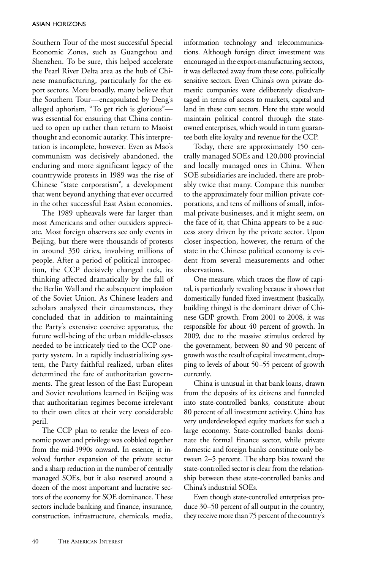Southern Tour of the most successful Special Economic Zones, such as Guangzhou and Shenzhen. To be sure, this helped accelerate the Pearl River Delta area as the hub of Chinese manufacturing, particularly for the export sectors. More broadly, many believe that the Southern Tour—encapsulated by Deng's alleged aphorism, "To get rich is glorious" was essential for ensuring that China continued to open up rather than return to Maoist thought and economic autarky. This interpretation is incomplete, however. Even as Mao's communism was decisively abandoned, the enduring and more significant legacy of the countrywide protests in 1989 was the rise of Chinese "state corporatism", a development that went beyond anything that ever occurred in the other successful East Asian economies.

The 1989 upheavals were far larger than most Americans and other outsiders appreciate. Most foreign observers see only events in Beijing, but there were thousands of protests in around 350 cities, involving millions of people. After a period of political introspection, the CCP decisively changed tack, its thinking affected dramatically by the fall of the Berlin Wall and the subsequent implosion of the Soviet Union. As Chinese leaders and scholars analyzed their circumstances, they concluded that in addition to maintaining the Party's extensive coercive apparatus, the future well-being of the urban middle-classes needed to be intricately tied to the CCP oneparty system. In a rapidly industrializing system, the Party faithful realized, urban elites determined the fate of authoritarian governments. The great lesson of the East European and Soviet revolutions learned in Beijing was that authoritarian regimes become irrelevant to their own elites at their very considerable peril.

The CCP plan to retake the levers of economic power and privilege was cobbled together from the mid-1990s onward. In essence, it involved further expansion of the private sector and a sharp reduction in the number of centrally managed SOEs, but it also reserved around a dozen of the most important and lucrative sectors of the economy for SOE dominance. These sectors include banking and finance, insurance, construction, infrastructure, chemicals, media,

information technology and telecommunications. Although foreign direct investment was encouraged in the export-manufacturing sectors, it was deflected away from these core, politically sensitive sectors. Even China's own private domestic companies were deliberately disadvantaged in terms of access to markets, capital and land in these core sectors. Here the state would maintain political control through the stateowned enterprises, which would in turn guarantee both elite loyalty and revenue for the CCP.

Today, there are approximately 150 centrally managed SOEs and 120,000 provincial and locally managed ones in China. When SOE subsidiaries are included, there are probably twice that many. Compare this number to the approximately four million private corporations, and tens of millions of small, informal private businesses, and it might seem, on the face of it, that China appears to be a success story driven by the private sector. Upon closer inspection, however, the return of the state in the Chinese political economy is evident from several measurements and other observations.

One measure, which traces the flow of capital, is particularly revealing because it shows that domestically funded fixed investment (basically, building things) is the dominant driver of Chinese GDP growth. From 2001 to 2008, it was responsible for about 40 percent of growth. In 2009, due to the massive stimulus ordered by the government, between 80 and 90 percent of growth was the result of capital investment, dropping to levels of about 50–55 percent of growth currently.

China is unusual in that bank loans, drawn from the deposits of its citizens and funneled into state-controlled banks, constitute about 80 percent of all investment activity. China has very underdeveloped equity markets for such a large economy. State-controlled banks dominate the formal finance sector, while private domestic and foreign banks constitute only between 2–5 percent. The sharp bias toward the state-controlled sector is clear from the relationship between these state-controlled banks and China's industrial SOEs.

Even though state-controlled enterprises produce 30–50 percent of all output in the country, they receive more than 75 percent of the country's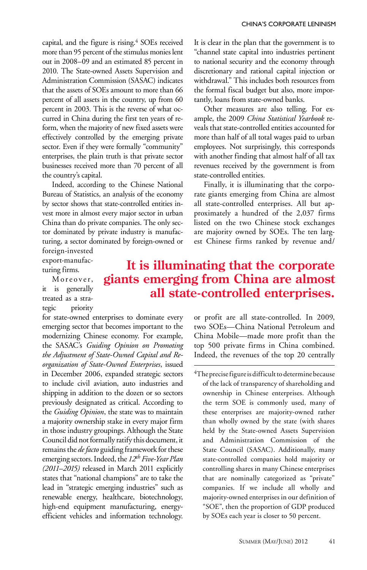capital, and the figure is rising.<sup>4</sup> SOEs received more than 95 percent of the stimulus monies lent out in 2008–09 and an estimated 85 percent in 2010. The State-owned Assets Supervision and Administration Commission (SASAC) indicates that the assets of SOEs amount to more than 66 percent of all assets in the country, up from 60 percent in 2003. This is the reverse of what occurred in China during the first ten years of reform, when the majority of new fixed assets were effectively controlled by the emerging private sector. Even if they were formally "community" enterprises, the plain truth is that private sector businesses received more than 70 percent of all the country's capital.

Indeed, according to the Chinese National Bureau of Statistics, an analysis of the economy by sector shows that state-controlled entities invest more in almost every major sector in urban China than do private companies. The only sector dominated by private industry is manufacturing, a sector dominated by foreign-owned or

It is clear in the plan that the government is to "channel state capital into industries pertinent to national security and the economy through discretionary and rational capital injection or withdrawal." This includes both resources from the formal fiscal budget but also, more importantly, loans from state-owned banks.

Other measures are also telling. For example, the 2009 *China Statistical Yearbook* reveals that state-controlled entities accounted for more than half of all total wages paid to urban employees. Not surprisingly, this corresponds with another finding that almost half of all tax revenues received by the government is from state-controlled entities.

Finally, it is illuminating that the corporate giants emerging from China are almost all state-controlled enterprises. All but approximately a hundred of the 2,037 firms listed on the two Chinese stock exchanges are majority owned by SOEs. The ten largest Chinese firms ranked by revenue and/

foreign-invested export-manufacturing firms.

Moreover, it is generally treated as a strategic priority

## **It is illuminating that the corporate giants emerging from China are almost all state-controlled enterprises.**

for state-owned enterprises to dominate every emerging sector that becomes important to the modernizing Chinese economy. For example, the SASAC's *Guiding Opinion on Promoting the Adjustment of State-Owned Capital and Reorganization of State-Owned Enterprises*, issued in December 2006, expanded strategic sectors to include civil aviation, auto industries and shipping in addition to the dozen or so sectors previously designated as critical. According to the *Guiding Opinion*, the state was to maintain a majority ownership stake in every major firm in those industry groupings. Although the State Council did not formally ratify this document, it remains the *de facto* guiding framework for these emerging sectors. Indeed, the *12th Five-Year Plan (2011–2015)* released in March 2011 explicitly states that "national champions" are to take the lead in "strategic emerging industries" such as renewable energy, healthcare, biotechnology, high-end equipment manufacturing, energyefficient vehicles and information technology.

or profit are all state-controlled. In 2009, two SOEs—China National Petroleum and China Mobile—made more profit than the top 500 private firms in China combined. Indeed, the revenues of the top 20 centrally

 ${}^{4}$ The precise figure is difficult to determine because of the lack of transparency of shareholding and ownership in Chinese enterprises. Although the term SOE is commonly used, many of these enterprises are majority-owned rather than wholly owned by the state (with shares held by the State-owned Assets Supervision and Administration Commission of the State Council (SASAC). Additionally, many state-controlled companies hold majority or controlling shares in many Chinese enterprises that are nominally categorized as "private" companies. If we include all wholly and majority-owned enterprises in our definition of "SOE", then the proportion of GDP produced by SOEs each year is closer to 50 percent.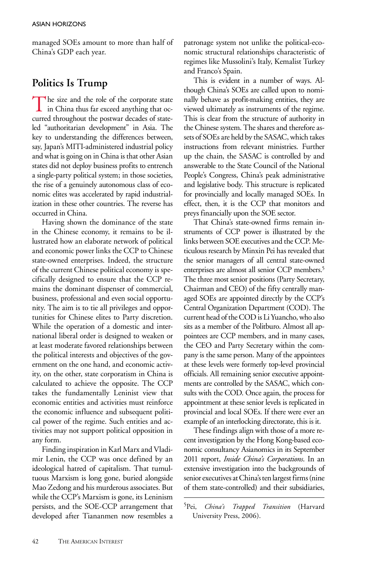managed SOEs amount to more than half of China's GDP each year.

## **Politics Is Trump**

The size and the role of the corporate state<br>in China thus far exceed anything that occurred throughout the postwar decades of stateled "authoritarian development" in Asia. The key to understanding the differences between, say, Japan's MITI-administered industrial policy and what is going on in China is that other Asian states did not deploy business profits to entrench a single-party political system; in those societies, the rise of a genuinely autonomous class of economic elites was accelerated by rapid industrialization in these other countries. The reverse has occurred in China.

Having shown the dominance of the state in the Chinese economy, it remains to be illustrated how an elaborate network of political and economic power links the CCP to Chinese state-owned enterprises. Indeed, the structure of the current Chinese political economy is specifically designed to ensure that the CCP remains the dominant dispenser of commercial, business, professional and even social opportunity. The aim is to tie all privileges and opportunities for Chinese elites to Party discretion. While the operation of a domestic and international liberal order is designed to weaken or at least moderate favored relationships between the political interests and objectives of the government on the one hand, and economic activity, on the other, state corporatism in China is calculated to achieve the opposite. The CCP takes the fundamentally Leninist view that economic entities and activities must reinforce the economic influence and subsequent political power of the regime. Such entities and activities may not support political opposition in any form.

Finding inspiration in Karl Marx and Vladimir Lenin, the CCP was once defined by an ideological hatred of capitalism. That tumultuous Marxism is long gone, buried alongside Mao Zedong and his murderous associates. But while the CCP's Marxism is gone, its Leninism persists, and the SOE-CCP arrangement that developed after Tiananmen now resembles a patronage system not unlike the political-economic structural relationships characteristic of regimes like Mussolini's Italy, Kemalist Turkey and Franco's Spain.

This is evident in a number of ways. Although China's SOEs are called upon to nominally behave as profit-making entities, they are viewed ultimately as instruments of the regime. This is clear from the structure of authority in the Chinese system. The shares and therefore assets of SOEs are held by the SASAC, which takes instructions from relevant ministries. Further up the chain, the SASAC is controlled by and answerable to the State Council of the National People's Congress, China's peak administrative and legislative body. This structure is replicated for provincially and locally managed SOEs. In effect, then, it is the CCP that monitors and preys financially upon the SOE sector.

That China's state-owned firms remain instruments of CCP power is illustrated by the links between SOE executives and the CCP. Meticulous research by Minxin Pei has revealed that the senior managers of all central state-owned enterprises are almost all senior CCP members.5 The three most senior positions (Party Secretary, Chairman and CEO) of the fifty centrally managed SOEs are appointed directly by the CCP's Central Organization Department (COD). The current head of the COD is Li Yuancho, who also sits as a member of the Politburo. Almost all appointees are CCP members, and in many cases, the CEO and Party Secretary within the company is the same person. Many of the appointees at these levels were formerly top-level provincial officials. All remaining senior executive appointments are controlled by the SASAC, which consults with the COD. Once again, the process for appointment at these senior levels is replicated in provincial and local SOEs. If there were ever an example of an interlocking directorate, this is it.

These findings align with those of a more recent investigation by the Hong Kong-based economic consultancy Asianomics in its September 2011 report, *Inside China's Corporations*. In an extensive investigation into the backgrounds of senior executives at China's ten largest firms (nine of them state-controlled) and their subsidiaries,

<sup>5</sup>Pei, *China's Trapped Transition* (Harvard University Press, 2006).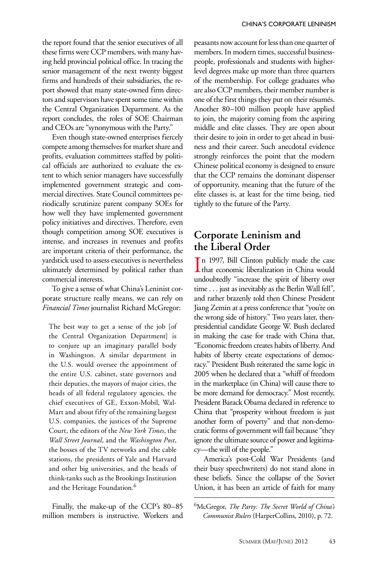the report found that the senior executives of all these firms were CCP members, with many having held provincial political office. In tracing the senior management of the next twenty biggest firms and hundreds of their subsidiaries, the report showed that many state-owned firm directors and supervisors have spent some time within the Central Organization Department. As the report concludes, the roles of SOE Chairman and CEOs are "synonymous with the Party."

Even though state-owned enterprises fiercely compete among themselves for market share and profits, evaluation committees staffed by political officials are authorized to evaluate the extent to which senior managers have successfully implemented government strategic and commercial directives. State Council committees periodically scrutinize parent company SOEs for how well they have implemented government policy initiatives and directives. Therefore, even though competition among SOE executives is intense, and increases in revenues and profits are important criteria of their performance, the yardstick used to assess executives is nevertheless ultimately determined by political rather than commercial interests.

To give a sense of what China's Leninist corporate structure really means, we can rely on *Financial Times* journalist Richard McGregor:

The best way to get a sense of the job [of the Central Organization Department] is to conjure up an imaginary parallel body in Washington. A similar department in the U.S. would oversee the appointment of the entire U.S. cabinet, state governors and their deputies, the mayors of major cities, the heads of all federal regulatory agencies, the chief executives of GE, Exxon-Mobil, Wal-Mart and about fifty of the remaining largest U.S. companies, the justices of the Supreme Court, the editors of the *New York Times*, the *Wall Street Journal*, and the *Washington Post*, the bosses of the TV networks and the cable stations, the presidents of Yale and Harvard and other big universities, and the heads of think-tanks such as the Brookings Institution and the Heritage Foundation.<sup>6</sup>

Finally, the make-up of the CCP's 80–85 million members is instructive. Workers and

peasants now account for less than one quarter of members. In modern times, successful businesspeople, professionals and students with higherlevel degrees make up more than three quarters of the membership. For college graduates who are also CCP members, their member number is one of the first things they put on their résumés. Another 80–100 million people have applied to join, the majority coming from the aspiring middle and elite classes. They are open about their desire to join in order to get ahead in business and their career. Such anecdotal evidence strongly reinforces the point that the modern Chinese political economy is designed to ensure that the CCP remains the dominant dispenser of opportunity, meaning that the future of the elite classes is, at least for the time being, tied tightly to the future of the Party.

## **Corporate Leninism and the Liberal Order**

In 1997, Bill Clinton publicly made the case<br>that economic liberalization in China would n 1997, Bill Clinton publicly made the case undoubtedly "increase the spirit of liberty over time . . . just as inevitably as the Berlin Wall fell", and rather brazenly told then Chinese President Jiang Zemin at a press conference that "you're on the wrong side of history." Two years later, thenpresidential candidate George W. Bush declared in making the case for trade with China that, "Economic freedom creates habits of liberty. And habits of liberty create expectations of democracy." President Bush reiterated the same logic in 2005 when he declared that a "whiff of freedom in the marketplace (in China) will cause there to be more demand for democracy." Most recently, President Barack Obama declared in reference to China that "prosperity without freedom is just another form of poverty" and that non-democratic forms of government will fail because "they ignore the ultimate source of power and legitimacy—the will of the people."

America's post-Cold War Presidents (and their busy speechwriters) do not stand alone in these beliefs. Since the collapse of the Soviet Union, it has been an article of faith for many

6McGregor, *The Party: The Secret World of China's Communist Rulers* (HarperCollins, 2010), p. 72.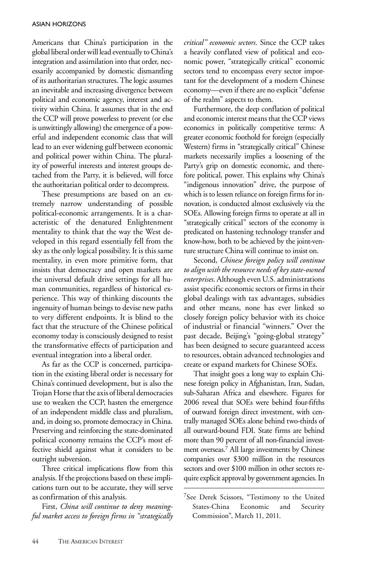Americans that China's participation in the global liberal order will lead eventually to China's integration and assimilation into that order, necessarily accompanied by domestic dismantling of its authoritarian structures. The logic assumes an inevitable and increasing divergence between political and economic agency, interest and activity within China. It assumes that in the end the CCP will prove powerless to prevent (or else is unwittingly allowing) the emergence of a powerful and independent economic class that will lead to an ever widening gulf between economic and political power within China. The plurality of powerful interests and interest groups detached from the Party, it is believed, will force the authoritarian political order to decompress.

These presumptions are based on an extremely narrow understanding of possible political-economic arrangements. It is a characteristic of the denatured Enlightenment mentality to think that the way the West developed in this regard essentially fell from the sky as the only logical possibility. It is this same mentality, in even more primitive form, that insists that democracy and open markets are the universal default drive settings for all human communities, regardless of historical experience. This way of thinking discounts the ingenuity of human beings to devise new paths to very different endpoints. It is blind to the fact that the structure of the Chinese political economy today is consciously designed to resist the transformative effects of participation and eventual integration into a liberal order.

As far as the CCP is concerned, participation in the existing liberal order is necessary for China's continued development, but is also the Trojan Horse that the axis of liberal democracies use to weaken the CCP, hasten the emergence of an independent middle class and pluralism, and, in doing so, promote democracy in China. Preserving and reinforcing the state-dominated political economy remains the CCP's most effective shield against what it considers to be outright subversion.

Three critical implications flow from this analysis. If the projections based on these implications turn out to be accurate, they will serve as confirmation of this analysis.

First, *China will continue to deny meaningful market access to foreign firms in "strategically*  *critical" economic sectors*. Since the CCP takes a heavily conflated view of political and economic power, "strategically critical" economic sectors tend to encompass every sector important for the development of a modern Chinese economy—even if there are no explicit "defense of the realm" aspects to them.

Furthermore, the deep conflation of political and economic interest means that the CCP views economics in politically competitive terms: A greater economic foothold for foreign (especially Western) firms in "strategically critical" Chinese markets necessarily implies a loosening of the Party's grip on domestic economic, and therefore political, power. This explains why China's "indigenous innovation" drive, the purpose of which is to lessen reliance on foreign firms for innovation, is conducted almost exclusively via the SOEs. Allowing foreign firms to operate at all in "strategically critical" sectors of the economy is predicated on hastening technology transfer and know-how, both to be achieved by the joint-venture structure China will continue to insist on.

Second, *Chinese foreign policy will continue to align with the resource needs of key state-owned enterprises*. Although even U.S. administrations assist specific economic sectors or firms in their global dealings with tax advantages, subsidies and other means, none has ever linked so closely foreign policy behavior with its choice of industrial or financial "winners." Over the past decade, Beijing's "going-global strategy" has been designed to secure guaranteed access to resources, obtain advanced technologies and create or expand markets for Chinese SOEs.

That insight goes a long way to explain Chinese foreign policy in Afghanistan, Iran, Sudan, sub-Saharan Africa and elsewhere. Figures for 2006 reveal that SOEs were behind four-fifths of outward foreign direct investment, with centrally managed SOEs alone behind two-thirds of all outward-bound FDI. State firms are behind more than 90 percent of all non-financial investment overseas.7 All large investments by Chinese companies over \$300 million in the resources sectors and over \$100 million in other sectors require explicit approval by government agencies. In

<sup>7</sup>See Derek Scissors, "Testimony to the United States-China Economic and Security Commission", March 11, 2011.